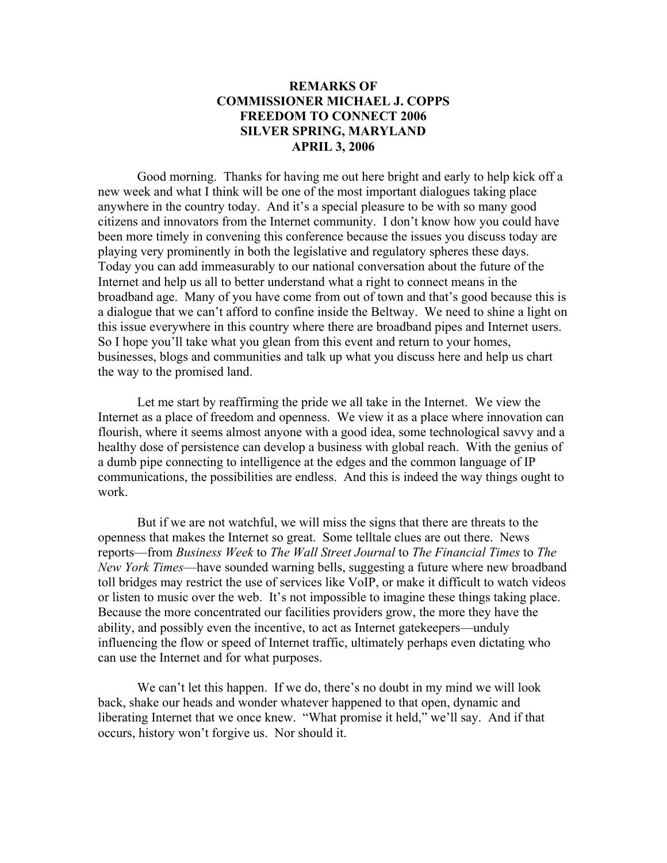## **REMARKS OF COMMISSIONER MICHAEL J. COPPS FREEDOM TO CONNECT 2006 SILVER SPRING, MARYLAND APRIL 3, 2006**

 Good morning. Thanks for having me out here bright and early to help kick off a new week and what I think will be one of the most important dialogues taking place anywhere in the country today. And it's a special pleasure to be with so many good citizens and innovators from the Internet community. I don't know how you could have been more timely in convening this conference because the issues you discuss today are playing very prominently in both the legislative and regulatory spheres these days. Today you can add immeasurably to our national conversation about the future of the Internet and help us all to better understand what a right to connect means in the broadband age. Many of you have come from out of town and that's good because this is a dialogue that we can't afford to confine inside the Beltway. We need to shine a light on this issue everywhere in this country where there are broadband pipes and Internet users. So I hope you'll take what you glean from this event and return to your homes, businesses, blogs and communities and talk up what you discuss here and help us chart the way to the promised land.

 Let me start by reaffirming the pride we all take in the Internet. We view the Internet as a place of freedom and openness. We view it as a place where innovation can flourish, where it seems almost anyone with a good idea, some technological savvy and a healthy dose of persistence can develop a business with global reach. With the genius of a dumb pipe connecting to intelligence at the edges and the common language of IP communications, the possibilities are endless. And this is indeed the way things ought to work.

 But if we are not watchful, we will miss the signs that there are threats to the openness that makes the Internet so great. Some telltale clues are out there. News reports—from *Business Week* to *The Wall Street Journal* to *The Financial Times* to *The New York Times*—have sounded warning bells, suggesting a future where new broadband toll bridges may restrict the use of services like VoIP, or make it difficult to watch videos or listen to music over the web. It's not impossible to imagine these things taking place. Because the more concentrated our facilities providers grow, the more they have the ability, and possibly even the incentive, to act as Internet gatekeepers—unduly influencing the flow or speed of Internet traffic, ultimately perhaps even dictating who can use the Internet and for what purposes.

We can't let this happen. If we do, there's no doubt in my mind we will look back, shake our heads and wonder whatever happened to that open, dynamic and liberating Internet that we once knew. "What promise it held," we'll say. And if that occurs, history won't forgive us. Nor should it.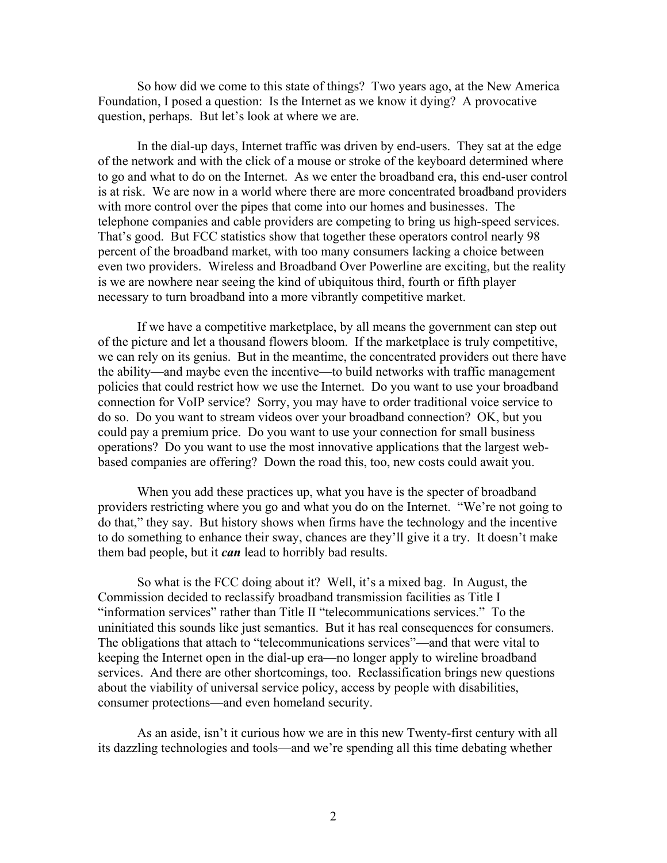So how did we come to this state of things? Two years ago, at the New America Foundation, I posed a question: Is the Internet as we know it dying? A provocative question, perhaps. But let's look at where we are.

 In the dial-up days, Internet traffic was driven by end-users. They sat at the edge of the network and with the click of a mouse or stroke of the keyboard determined where to go and what to do on the Internet. As we enter the broadband era, this end-user control is at risk. We are now in a world where there are more concentrated broadband providers with more control over the pipes that come into our homes and businesses. The telephone companies and cable providers are competing to bring us high-speed services. That's good. But FCC statistics show that together these operators control nearly 98 percent of the broadband market, with too many consumers lacking a choice between even two providers. Wireless and Broadband Over Powerline are exciting, but the reality is we are nowhere near seeing the kind of ubiquitous third, fourth or fifth player necessary to turn broadband into a more vibrantly competitive market.

If we have a competitive marketplace, by all means the government can step out of the picture and let a thousand flowers bloom. If the marketplace is truly competitive, we can rely on its genius. But in the meantime, the concentrated providers out there have the ability—and maybe even the incentive—to build networks with traffic management policies that could restrict how we use the Internet. Do you want to use your broadband connection for VoIP service? Sorry, you may have to order traditional voice service to do so. Do you want to stream videos over your broadband connection? OK, but you could pay a premium price. Do you want to use your connection for small business operations? Do you want to use the most innovative applications that the largest webbased companies are offering? Down the road this, too, new costs could await you.

When you add these practices up, what you have is the specter of broadband providers restricting where you go and what you do on the Internet. "We're not going to do that," they say. But history shows when firms have the technology and the incentive to do something to enhance their sway, chances are they'll give it a try. It doesn't make them bad people, but it *can* lead to horribly bad results.

So what is the FCC doing about it? Well, it's a mixed bag. In August, the Commission decided to reclassify broadband transmission facilities as Title I "information services" rather than Title II "telecommunications services." To the uninitiated this sounds like just semantics. But it has real consequences for consumers. The obligations that attach to "telecommunications services"—and that were vital to keeping the Internet open in the dial-up era—no longer apply to wireline broadband services. And there are other shortcomings, too. Reclassification brings new questions about the viability of universal service policy, access by people with disabilities, consumer protections—and even homeland security.

As an aside, isn't it curious how we are in this new Twenty-first century with all its dazzling technologies and tools—and we're spending all this time debating whether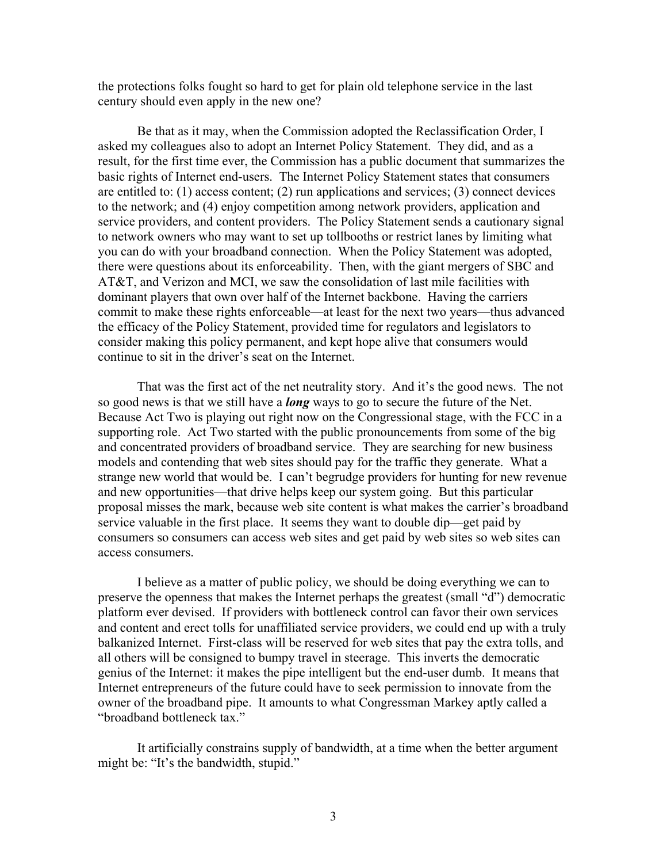the protections folks fought so hard to get for plain old telephone service in the last century should even apply in the new one?

Be that as it may, when the Commission adopted the Reclassification Order, I asked my colleagues also to adopt an Internet Policy Statement. They did, and as a result, for the first time ever, the Commission has a public document that summarizes the basic rights of Internet end-users. The Internet Policy Statement states that consumers are entitled to: (1) access content; (2) run applications and services; (3) connect devices to the network; and (4) enjoy competition among network providers, application and service providers, and content providers. The Policy Statement sends a cautionary signal to network owners who may want to set up tollbooths or restrict lanes by limiting what you can do with your broadband connection. When the Policy Statement was adopted, there were questions about its enforceability. Then, with the giant mergers of SBC and AT&T, and Verizon and MCI, we saw the consolidation of last mile facilities with dominant players that own over half of the Internet backbone. Having the carriers commit to make these rights enforceable—at least for the next two years—thus advanced the efficacy of the Policy Statement, provided time for regulators and legislators to consider making this policy permanent, and kept hope alive that consumers would continue to sit in the driver's seat on the Internet.

 That was the first act of the net neutrality story. And it's the good news. The not so good news is that we still have a *long* ways to go to secure the future of the Net. Because Act Two is playing out right now on the Congressional stage, with the FCC in a supporting role. Act Two started with the public pronouncements from some of the big and concentrated providers of broadband service. They are searching for new business models and contending that web sites should pay for the traffic they generate. What a strange new world that would be. I can't begrudge providers for hunting for new revenue and new opportunities—that drive helps keep our system going. But this particular proposal misses the mark, because web site content is what makes the carrier's broadband service valuable in the first place. It seems they want to double dip—get paid by consumers so consumers can access web sites and get paid by web sites so web sites can access consumers.

I believe as a matter of public policy, we should be doing everything we can to preserve the openness that makes the Internet perhaps the greatest (small "d") democratic platform ever devised. If providers with bottleneck control can favor their own services and content and erect tolls for unaffiliated service providers, we could end up with a truly balkanized Internet. First-class will be reserved for web sites that pay the extra tolls, and all others will be consigned to bumpy travel in steerage. This inverts the democratic genius of the Internet: it makes the pipe intelligent but the end-user dumb. It means that Internet entrepreneurs of the future could have to seek permission to innovate from the owner of the broadband pipe. It amounts to what Congressman Markey aptly called a "broadband bottleneck tax."

It artificially constrains supply of bandwidth, at a time when the better argument might be: "It's the bandwidth, stupid."